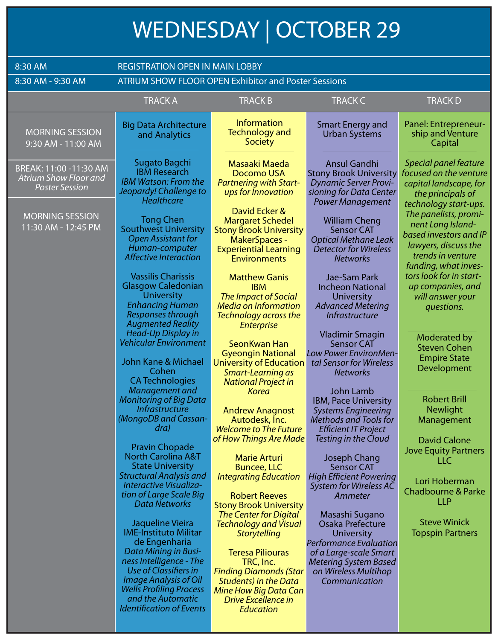## **WEDNESDAY | OCTOBER 29**

| 8:30 AM                                                                         | <b>REGISTRATION OPEN IN MAIN LOBBY</b>                                                                                                                                                                                        |                                                                                                                                                                                                                                               |                                                                                                                                                                               |                                                                                                                                                                    |  |  |
|---------------------------------------------------------------------------------|-------------------------------------------------------------------------------------------------------------------------------------------------------------------------------------------------------------------------------|-----------------------------------------------------------------------------------------------------------------------------------------------------------------------------------------------------------------------------------------------|-------------------------------------------------------------------------------------------------------------------------------------------------------------------------------|--------------------------------------------------------------------------------------------------------------------------------------------------------------------|--|--|
| 8:30 AM - 9:30 AM                                                               | <b>ATRIUM SHOW FLOOR OPEN Exhibitor and Poster Sessions</b>                                                                                                                                                                   |                                                                                                                                                                                                                                               |                                                                                                                                                                               |                                                                                                                                                                    |  |  |
|                                                                                 | <b>TRACK A</b>                                                                                                                                                                                                                | <b>TRACKB</b>                                                                                                                                                                                                                                 | <b>TRACK C</b>                                                                                                                                                                | <b>TRACKD</b>                                                                                                                                                      |  |  |
| <b>MORNING SESSION</b><br>9:30 AM - 11:00 AM                                    | <b>Big Data Architecture</b><br>and Analytics                                                                                                                                                                                 | <b>Information</b><br><b>Technology and</b><br>Society                                                                                                                                                                                        | <b>Smart Energy and</b><br><b>Urban Systems</b>                                                                                                                               | Panel: Entrepreneur-<br>ship and Venture<br>Capital                                                                                                                |  |  |
| BREAK: 11:00 -11:30 AM<br><b>Atrium Show Floor and</b><br><b>Poster Session</b> | Sugato Bagchi<br><b>IBM Research</b><br><b>IBM Watson: From the</b><br>Jeopardy! Challenge to<br>Healthcare                                                                                                                   | Masaaki Maeda<br>Docomo USA<br><b>Partnering with Start-</b><br>ups for Innovation                                                                                                                                                            | Ansul Gandhi<br><b>Stony Brook University</b><br><b>Dynamic Server Provi-</b><br>sioning for Data Center<br><b>Power Management</b>                                           | Special panel feature<br>focused on the venture<br>capital landscape, for<br>the principals of                                                                     |  |  |
| <b>MORNING SESSION</b><br>11:30 AM - 12:45 PM                                   | <b>Tong Chen</b><br><b>Southwest University</b><br><b>Open Assistant for</b><br>Human-computer<br><b>Affective Interaction</b>                                                                                                | David Ecker &<br><b>Margaret Schedel</b><br><b>Stony Brook University</b><br><b>MakerSpaces -</b><br><b>Experiential Learning</b><br><b>Environments</b>                                                                                      | <b>William Cheng</b><br><b>Sensor CAT</b><br><b>Optical Methane Leak</b><br><b>Detector for Wireless</b><br><b>Networks</b>                                                   | technology start-ups.<br>The panelists, promi-<br>nent Long Island-<br>based investors and IP<br>lawyers, discuss the<br>trends in venture<br>funding, what inves- |  |  |
|                                                                                 | <b>Vassilis Charissis</b><br><b>Glasgow Caledonian</b><br><b>University</b><br><b>Enhancing Human</b><br>Responses through<br><b>Augmented Reality</b>                                                                        | <b>Matthew Ganis</b><br><b>IBM</b><br><b>The Impact of Social</b><br><b>Media on Information</b><br>Technology across the<br><b>Enterprise</b>                                                                                                | Jae-Sam Park<br><b>Incheon National</b><br><b>University</b><br><b>Advanced Metering</b><br><b>Infrastructure</b>                                                             | tors look for in start-<br>up companies, and<br>will answer your<br>questions.                                                                                     |  |  |
|                                                                                 | <b>Head-Up Display in</b><br><b>Vehicular Environment</b><br>John Kane & Michael<br>Cohen<br><b>CA Technologies</b>                                                                                                           | SeonKwan Han<br><b>Gyeongin National</b><br><b>University of Education</b><br>Smart-Learning as<br><b>National Project in</b>                                                                                                                 | <b>Vladimir Smagin</b><br><b>Sensor CAT</b><br>Low Power EnvironMen-<br>tal Sensor for Wireless<br><b>Networks</b>                                                            | <b>Moderated by</b><br><b>Steven Cohen</b><br><b>Empire State</b><br>Development                                                                                   |  |  |
|                                                                                 | Management and<br><b>Monitoring of Big Data</b><br><i>Infrastructure</i><br>(MongoDB and Cassan-<br>dra)<br><b>Pravin Chopade</b>                                                                                             | <b>Korea</b><br><b>Andrew Anagnost</b><br>Autodesk, Inc.<br><b>Welcome to The Future</b><br>of How Things Are Made                                                                                                                            | <b>John Lamb</b><br><b>IBM, Pace University</b><br><b>Systems Engineering</b><br><b>Methods and Tools for</b><br><b>Efficient IT Project</b><br>Testing in the Cloud          | <b>Robert Brill</b><br><b>Newlight</b><br>Management<br><b>David Calone</b>                                                                                        |  |  |
|                                                                                 | <b>North Carolina A&amp;T</b><br><b>State University</b><br><b>Structural Analysis and</b><br>Interactive Visualiza-<br>tion of Large Scale Big<br>Data Networks                                                              | <b>Marie Arturi</b><br><b>Buncee, LLC</b><br><b>Integrating Education</b><br><b>Robert Reeves</b><br><b>Stony Brook University</b>                                                                                                            | <b>Joseph Chang</b><br><b>Sensor CAT</b><br><b>High Efficient Powering</b><br>System for Wireless AC<br>Ammeter                                                               | <b>Jove Equity Partners</b><br>LLC<br>Lori Hoberman<br><b>Chadbourne &amp; Parke</b><br><b>LLP</b>                                                                 |  |  |
|                                                                                 | Jaqueline Vieira<br><b>IME-Instituto Militar</b><br>de Engenharia<br>Data Mining in Busi-<br>ness Intelligence - The<br>Use of Classifiers in<br>Image Analysis of Oil<br><b>Wells Profiling Process</b><br>and the Automatic | <b>The Center for Digital</b><br><b>Technology and Visual</b><br><b>Storytelling</b><br><b>Teresa Piliouras</b><br>TRC, Inc.<br><b>Finding Diamonds (Star</b><br><b>Students) in the Data</b><br>Mine How Big Data Can<br>Drive Excellence in | Masashi Sugano<br>Osaka Prefecture<br>University<br><b>Performance Evaluation</b><br>of a Large-scale Smart<br>Metering System Based<br>on Wireless Multihop<br>Communication | <b>Steve Winick</b><br><b>Topspin Partners</b>                                                                                                                     |  |  |
|                                                                                 | <b>Identification of Events</b>                                                                                                                                                                                               | <b>Education</b>                                                                                                                                                                                                                              |                                                                                                                                                                               |                                                                                                                                                                    |  |  |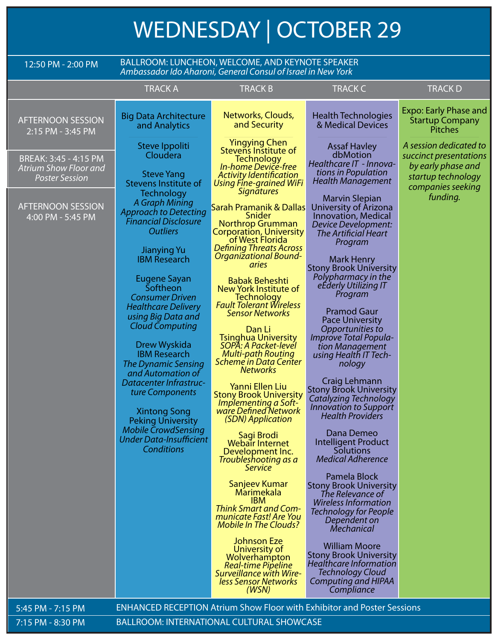## **WEDNESDAY | OCTOBER 29**

| 12:50 PM - 2:00 PM                                                             | BALLROOM: LUNCHEON, WELCOME, AND KEYNOTE SPEAKER<br>Ambassador Ido Aharoni, General Consul of Israel in New York                                                                                                                                                                                                                                                                                                                                                                                                                                                                      |                                                                                                                                                                                                                                                                                                                                                                                                                                                                                                                                                                                                                                                                                                                                                                                                                                                                                                                             |                                                                                                                                                                                                                                                                                                                                                                                                                                                                                                                                                                                                                                                                                                                                                                                                                         |                                                                                              |  |
|--------------------------------------------------------------------------------|---------------------------------------------------------------------------------------------------------------------------------------------------------------------------------------------------------------------------------------------------------------------------------------------------------------------------------------------------------------------------------------------------------------------------------------------------------------------------------------------------------------------------------------------------------------------------------------|-----------------------------------------------------------------------------------------------------------------------------------------------------------------------------------------------------------------------------------------------------------------------------------------------------------------------------------------------------------------------------------------------------------------------------------------------------------------------------------------------------------------------------------------------------------------------------------------------------------------------------------------------------------------------------------------------------------------------------------------------------------------------------------------------------------------------------------------------------------------------------------------------------------------------------|-------------------------------------------------------------------------------------------------------------------------------------------------------------------------------------------------------------------------------------------------------------------------------------------------------------------------------------------------------------------------------------------------------------------------------------------------------------------------------------------------------------------------------------------------------------------------------------------------------------------------------------------------------------------------------------------------------------------------------------------------------------------------------------------------------------------------|----------------------------------------------------------------------------------------------|--|
|                                                                                | <b>TRACK A</b>                                                                                                                                                                                                                                                                                                                                                                                                                                                                                                                                                                        | <b>TRACK B</b>                                                                                                                                                                                                                                                                                                                                                                                                                                                                                                                                                                                                                                                                                                                                                                                                                                                                                                              | <b>TRACK C</b>                                                                                                                                                                                                                                                                                                                                                                                                                                                                                                                                                                                                                                                                                                                                                                                                          | <b>TRACKD</b>                                                                                |  |
| <b>AFTERNOON SESSION</b><br>2:15 PM - 3:45 PM                                  | <b>Big Data Architecture</b><br>and Analytics                                                                                                                                                                                                                                                                                                                                                                                                                                                                                                                                         | Networks, Clouds,<br>and Security                                                                                                                                                                                                                                                                                                                                                                                                                                                                                                                                                                                                                                                                                                                                                                                                                                                                                           | <b>Health Technologies</b><br>& Medical Devices                                                                                                                                                                                                                                                                                                                                                                                                                                                                                                                                                                                                                                                                                                                                                                         | <b>Expo: Early Phase and</b><br><b>Startup Company</b><br><b>Pitches</b>                     |  |
| BREAK: 3:45 - 4:15 PM<br><b>Atrium Show Floor and</b><br><b>Poster Session</b> | Steve Ippoliti<br>Cloudera<br><b>Steve Yang</b><br>Stevens Institute of                                                                                                                                                                                                                                                                                                                                                                                                                                                                                                               | Yingying Chen<br>Stevens Institute of<br><b>Technology</b><br>In-home Device-free<br><b>Activity Identification</b><br>Using Fine-grained WiFi                                                                                                                                                                                                                                                                                                                                                                                                                                                                                                                                                                                                                                                                                                                                                                              | <b>Assaf Havley</b><br>dbMotion<br>Healthcare IT - Innova-<br>tions in Population<br>Health Management                                                                                                                                                                                                                                                                                                                                                                                                                                                                                                                                                                                                                                                                                                                  | A session dedicated to<br>succinct presentations<br>by early phase and<br>startup technology |  |
| <b>AFTERNOON SESSION</b><br>4:00 PM - 5:45 PM                                  | <b>Technology</b><br>A Graph Mining<br><b>Approach to Detecting</b><br><b>Financial Disclosure</b><br><b>Outliers</b><br><b>Jianying Yu</b><br><b>IBM Research</b><br>Eugene Sayan<br>Softheon<br><b>Consumer Driven</b><br><b>Healthcare Delivery</b><br>using Big Data and<br><b>Cloud Computing</b><br>Drew Wyskida<br><b>IBM Research</b><br>The Dynamic Sensing<br>and Automation of<br><b>Datacenter Infrastruc-</b><br>ture Components<br><b>Xintong Song</b><br><b>Peking University</b><br><b>Mobile CrowdSensing</b><br><b>Under Data-Insufficient</b><br><b>Conditions</b> | <i><u><b>Signatures</b></u></i><br><b>Sarah Pramanik &amp; Dallas</b><br>Snider<br><b>Northrop Grumman</b><br><b>Corporation, University</b><br>of West Florida<br><b>Defining Threats Across</b><br><b>Organizational Bound-</b><br>aries<br><b>Babak Beheshti</b><br>New York Institute of<br><b>Technology</b><br><b>Fault Tolerant Wireless</b><br><b>Sensor Networks</b><br>Dan Li<br><b>Tsinghua University</b><br>SOPA: A Packet-level<br><b>Multi-path Routing</b><br>Scheme in Data Center<br><b>Networks</b><br>Yanni Ellen Liu<br><b>Stony Brook University</b><br>Implementing a Soft-<br>ware Defined Network<br>(SDN) Application<br>Sagi Brodi<br>Webair Internet<br>Development Inc.<br>Troubleshooting as a<br><b>Service</b><br>Sanjeev Kumar<br>Marimekala<br><b>IBM</b><br><b>Think Smart and Com-</b><br>municate Fast! Are You<br><b>Mobile In The Clouds?</b><br><b>Johnson Eze</b><br>University of | <b>Marvin Slepian</b><br>University of Arizona<br><b>Innovation, Medical</b><br>Device Development:<br><b>The Artificial Heart</b><br>Program<br>Mark Henry<br><b>Stony Brook University</b><br>Polypharmacy in the<br>eEderly Utilizing IT<br>Program<br><b>Pramod Gaur</b><br><b>Pace University</b><br>Opportunities to<br>Improve Total Popula-<br>tion Management<br>using Health IT Tech-<br>nology<br>Craig Lehmann<br><b>Stony Brook University</b><br>Catalyzing Technology<br><b>Innovation to Support</b><br><b>Health Providers</b><br>Dana Demeo<br>Intelligent Product<br><b>Solutions</b><br><b>Medical Adherence</b><br>Pamela Block<br><b>Stony Brook University</b><br>The Relevance of<br><b>Wireless Information</b><br>Technology for People<br>Dependent on<br>Mechanical<br><b>William Moore</b> | companies seeking<br>funding.                                                                |  |
|                                                                                |                                                                                                                                                                                                                                                                                                                                                                                                                                                                                                                                                                                       | Wolverhampton<br><b>Real-time Pipeline</b><br><b>Surveillance with Wire-</b><br>less Sensor Networks<br>(WSN)                                                                                                                                                                                                                                                                                                                                                                                                                                                                                                                                                                                                                                                                                                                                                                                                               | <b>Stony Brook University</b><br>Healthcare Information<br><b>Technology Cloud</b><br><b>Computing and HIPAA</b><br>Compliance                                                                                                                                                                                                                                                                                                                                                                                                                                                                                                                                                                                                                                                                                          |                                                                                              |  |
| 5:45 PM - 7:15 PM                                                              |                                                                                                                                                                                                                                                                                                                                                                                                                                                                                                                                                                                       | <b>ENHANCED RECEPTION Atrium Show Floor with Exhibitor and Poster Sessions</b>                                                                                                                                                                                                                                                                                                                                                                                                                                                                                                                                                                                                                                                                                                                                                                                                                                              |                                                                                                                                                                                                                                                                                                                                                                                                                                                                                                                                                                                                                                                                                                                                                                                                                         |                                                                                              |  |
| 7:15 PM - 8:30 PM                                                              | <b>BALLROOM: INTERNATIONAL CULTURAL SHOWCASE</b>                                                                                                                                                                                                                                                                                                                                                                                                                                                                                                                                      |                                                                                                                                                                                                                                                                                                                                                                                                                                                                                                                                                                                                                                                                                                                                                                                                                                                                                                                             |                                                                                                                                                                                                                                                                                                                                                                                                                                                                                                                                                                                                                                                                                                                                                                                                                         |                                                                                              |  |